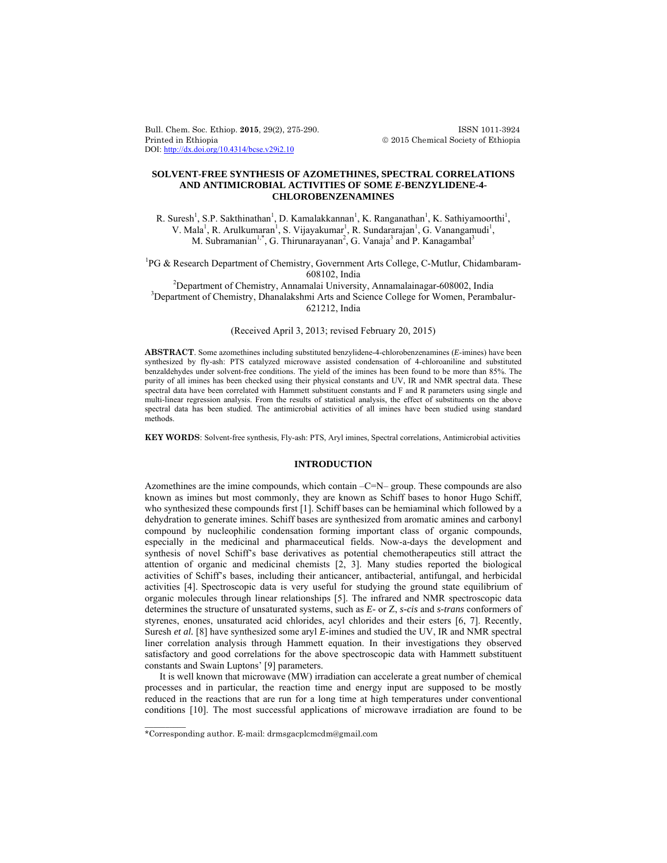Bull. Chem. Soc. Ethiop. **2015**, 29(2), 275-290. ISSN 1011-3924 Printed in Ethiopia  $\oslash$  2015 Chemical Society of Ethiopia DOI: http://dx.doi.org/10.4314/bcse.v29i2.10

## **SOLVENT-FREE SYNTHESIS OF AZOMETHINES, SPECTRAL CORRELATIONS AND ANTIMICROBIAL ACTIVITIES OF SOME** *E***-BENZYLIDENE-4- CHLOROBENZENAMINES**

R. Suresh<sup>1</sup>, S.P. Sakthinathan<sup>1</sup>, D. Kamalakkannan<sup>1</sup>, K. Ranganathan<sup>1</sup>, K. Sathiyamoorthi<sup>1</sup>, V. Mala<sup>1</sup>, R. Arulkumaran<sup>1</sup>, S. Vijayakumar<sup>1</sup>, R. Sundararajan<sup>1</sup>, G. Vanangamudi<sup>1</sup>, M. Subramanian<sup>1,\*</sup>, G. Thirunarayanan<sup>2</sup>, G. Vanaja<sup>3</sup> and P. Kanagambal<sup>3</sup>

<sup>1</sup>PG & Research Department of Chemistry, Government Arts College, C-Mutlur, Chidambaram- $608102$ , India  $^{2}$ Penertment of Chemistry, Appendei University

Department of Chemistry, Annamalai University, Annamalainagar-608002, India 3  $3$ Department of Chemistry, Dhanalakshmi Arts and Science College for Women, Perambalur-621212, India

## (Received April 3, 2013; revised February 20, 2015)

**ABSTRACT**. Some azomethines including substituted benzylidene-4-chlorobenzenamines (*E*-imines) have been synthesized by fly-ash: PTS catalyzed microwave assisted condensation of 4-chloroaniline and substituted benzaldehydes under solvent-free conditions. The yield of the imines has been found to be more than 85%. The purity of all imines has been checked using their physical constants and UV, IR and NMR spectral data. These spectral data have been correlated with Hammett substituent constants and F and R parameters using single and multi-linear regression analysis. From the results of statistical analysis, the effect of substituents on the above spectral data has been studied. The antimicrobial activities of all imines have been studied using standard methods.

**KEY WORDS**: Solvent-free synthesis, Fly-ash: PTS, Aryl imines, Spectral correlations, Antimicrobial activities

## **INTRODUCTION**

Azomethines are the imine compounds, which contain  $-C=N$ – group. These compounds are also known as imines but most commonly, they are known as Schiff bases to honor Hugo Schiff, who synthesized these compounds first [1]. Schiff bases can be hemiaminal which followed by a dehydration to generate imines. Schiff bases are synthesized from aromatic amines and carbonyl compound by nucleophilic condensation forming important class of organic compounds, especially in the medicinal and pharmaceutical fields. Now-a-days the development and synthesis of novel Schiff's base derivatives as potential chemotherapeutics still attract the attention of organic and medicinal chemists [2, 3]. Many studies reported the biological activities of Schiff's bases, including their anticancer, antibacterial, antifungal, and herbicidal activities [4]. Spectroscopic data is very useful for studying the ground state equilibrium of organic molecules through linear relationships [5]. The infrared and NMR spectroscopic data determines the structure of unsaturated systems, such as *E*- or Z, *s-cis* and *s-trans* conformers of styrenes, enones, unsaturated acid chlorides, acyl chlorides and their esters [6, 7]. Recently, Suresh *et al.* [8] have synthesized some aryl *E*-imines and studied the UV, IR and NMR spectral liner correlation analysis through Hammett equation. In their investigations they observed satisfactory and good correlations for the above spectroscopic data with Hammett substituent constants and Swain Luptons' [9] parameters.

 It is well known that microwave (MW) irradiation can accelerate a great number of chemical processes and in particular, the reaction time and energy input are supposed to be mostly reduced in the reactions that are run for a long time at high temperatures under conventional conditions [10]. The most successful applications of microwave irradiation are found to be

 $\overline{\phantom{a}}$ 

<sup>\*</sup>Corresponding author. E-mail: drmsgacplcmcdm@gmail.com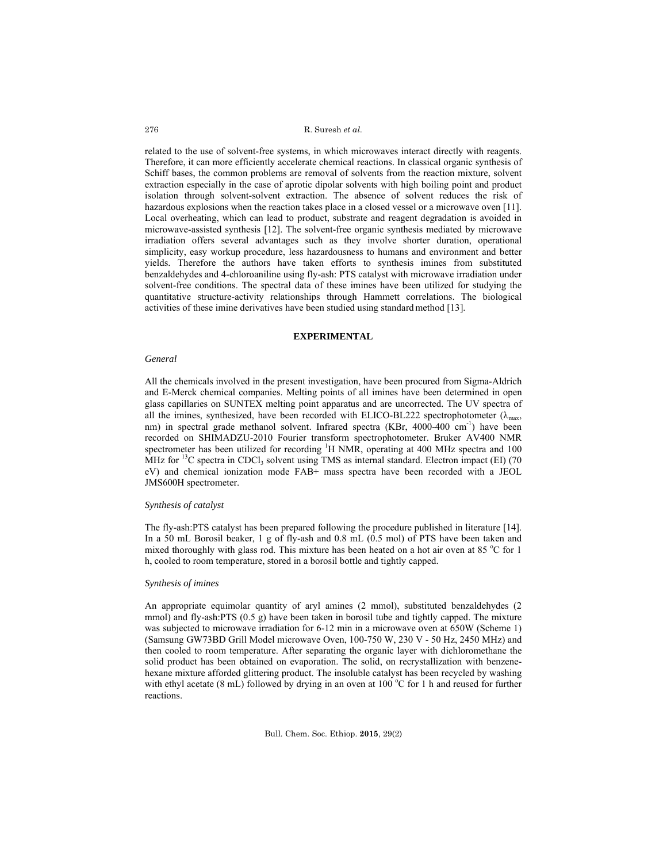related to the use of solvent-free systems, in which microwaves interact directly with reagents. Therefore, it can more efficiently accelerate chemical reactions. In classical organic synthesis of Schiff bases, the common problems are removal of solvents from the reaction mixture, solvent extraction especially in the case of aprotic dipolar solvents with high boiling point and product isolation through solvent-solvent extraction. The absence of solvent reduces the risk of hazardous explosions when the reaction takes place in a closed vessel or a microwave oven [11]. Local overheating, which can lead to product, substrate and reagent degradation is avoided in microwave-assisted synthesis [12]. The solvent-free organic synthesis mediated by microwave irradiation offers several advantages such as they involve shorter duration, operational simplicity, easy workup procedure, less hazardousness to humans and environment and better yields. Therefore the authors have taken efforts to synthesis imines from substituted benzaldehydes and 4-chloroaniline using fly-ash: PTS catalyst with microwave irradiation under solvent-free conditions. The spectral data of these imines have been utilized for studying the quantitative structure-activity relationships through Hammett correlations. The biological activities of these imine derivatives have been studied using standard method [13].

## **EXPERIMENTAL**

#### *General*

All the chemicals involved in the present investigation, have been procured from Sigma-Aldrich and E-Merck chemical companies. Melting points of all imines have been determined in open glass capillaries on SUNTEX melting point apparatus and are uncorrected. The UV spectra of all the imines, synthesized, have been recorded with ELICO-BL222 spectrophotometer ( $\lambda_{\text{max}}$ , nm) in spectral grade methanol solvent. Infrared spectra (KBr, 4000-400 cm<sup>-1</sup>) have been recorded on SHIMADZU-2010 Fourier transform spectrophotometer. Bruker AV400 NMR spectrometer has been utilized for recording  ${}^{1}H$  NMR, operating at 400 MHz spectra and 100 MHz for <sup>13</sup>C spectra in CDCl<sub>3</sub> solvent using TMS as internal standard. Electron impact (EI) (70 eV) and chemical ionization mode FAB+ mass spectra have been recorded with a JEOL JMS600H spectrometer.

## *Synthesis of catalyst*

The fly-ash:PTS catalyst has been prepared following the procedure published in literature [14]. In a 50 mL Borosil beaker, 1 g of fly-ash and 0.8 mL (0.5 mol) of PTS have been taken and mixed thoroughly with glass rod. This mixture has been heated on a hot air oven at 85 °C for 1 h, cooled to room temperature, stored in a borosil bottle and tightly capped.

#### *Synthesis of imines*

An appropriate equimolar quantity of aryl amines (2 mmol), substituted benzaldehydes (2 mmol) and fly-ash:PTS (0.5 g) have been taken in borosil tube and tightly capped. The mixture was subjected to microwave irradiation for 6-12 min in a microwave oven at 650W (Scheme 1) (Samsung GW73BD Grill Model microwave Oven, 100-750 W, 230 V - 50 Hz, 2450 MHz) and then cooled to room temperature. After separating the organic layer with dichloromethane the solid product has been obtained on evaporation. The solid, on recrystallization with benzenehexane mixture afforded glittering product. The insoluble catalyst has been recycled by washing with ethyl acetate  $(8 \text{ mL})$  followed by drying in an oven at  $100^{\circ}\text{C}$  for 1 h and reused for further reactions.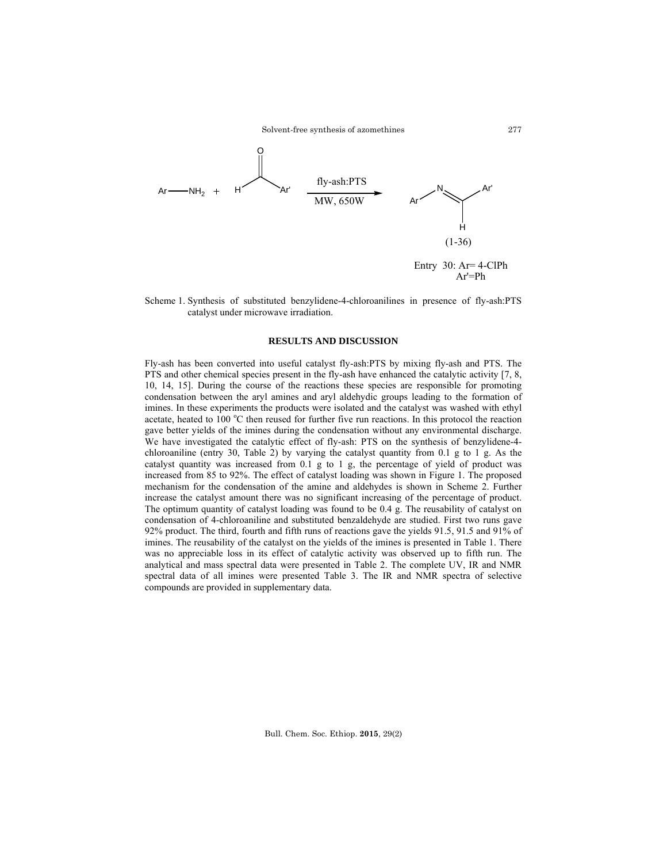Solvent-free synthesis of azomethines



Scheme 1. Synthesis of substituted benzylidene-4-chloroanilines in presence of fly-ash:PTS catalyst under microwave irradiation.

# **RESULTS AND DISCUSSION**

Fly-ash has been converted into useful catalyst fly-ash:PTS by mixing fly-ash and PTS. The PTS and other chemical species present in the fly-ash have enhanced the catalytic activity [7, 8, 10, 14, 15]. During the course of the reactions these species are responsible for promoting condensation between the aryl amines and aryl aldehydic groups leading to the formation of imines. In these experiments the products were isolated and the catalyst was washed with ethyl acetate, heated to 100 °C then reused for further five run reactions. In this protocol the reaction gave better yields of the imines during the condensation without any environmental discharge. We have investigated the catalytic effect of fly-ash: PTS on the synthesis of benzylidene-4 chloroaniline (entry 30, Table 2) by varying the catalyst quantity from 0.1 g to 1 g. As the catalyst quantity was increased from 0.1 g to 1 g, the percentage of yield of product was increased from 85 to 92%. The effect of catalyst loading was shown in Figure 1. The proposed mechanism for the condensation of the amine and aldehydes is shown in Scheme 2. Further increase the catalyst amount there was no significant increasing of the percentage of product. The optimum quantity of catalyst loading was found to be 0.4 g. The reusability of catalyst on condensation of 4-chloroaniline and substituted benzaldehyde are studied. First two runs gave 92% product. The third, fourth and fifth runs of reactions gave the yields 91.5, 91.5 and 91% of imines. The reusability of the catalyst on the yields of the imines is presented in Table 1. There was no appreciable loss in its effect of catalytic activity was observed up to fifth run. The analytical and mass spectral data were presented in Table 2. The complete UV, IR and NMR spectral data of all imines were presented Table 3. The IR and NMR spectra of selective compounds are provided in supplementary data.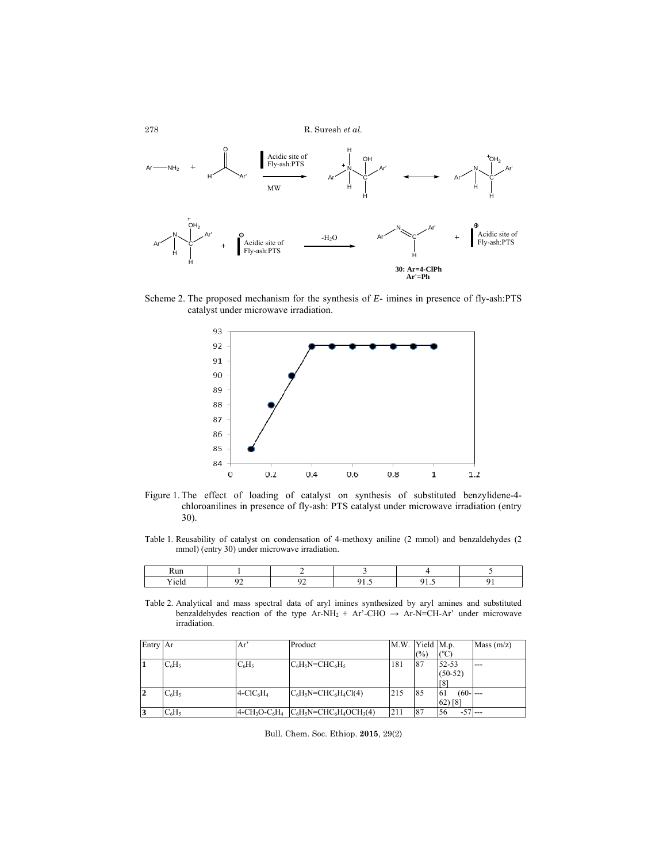

Scheme 2. The proposed mechanism for the synthesis of *E*- imines in presence of fly-ash:PTS catalyst under microwave irradiation.



Figure 1. The effect of loading of catalyst on synthesis of substituted benzylidene-4 chloroanilines in presence of fly-ash: PTS catalyst under microwave irradiation (entry 30).

Table 1. Reusability of catalyst on condensation of 4-methoxy aniline (2 mmol) and benzaldehydes (2 mmol) (entry 30) under microwave irradiation.

| <b>Run</b> |  |              |              |  |
|------------|--|--------------|--------------|--|
| 101c       |  | $\cdot\cdot$ | $\cdot\cdot$ |  |

Table 2. Analytical and mass spectral data of aryl imines synthesized by aryl amines and substituted benzaldehydes reaction of the type Ar-NH<sub>2</sub> + Ar'-CHO  $\rightarrow$  Ar-N=CH-Ar' under microwave irradiation.

| Entry Ar |          | Ar'        | Product                                     | M.W. | Yield M.p. |                  | Mass $(m/z)$ |
|----------|----------|------------|---------------------------------------------|------|------------|------------------|--------------|
|          |          |            |                                             |      | (%)        | СC               |              |
| 1        | $C_6H_5$ | $C_6H_5$   | $C_6H_5N=CHC_6H_5$                          | 181  | 87         | 52-53            | $---$        |
|          |          |            |                                             |      |            | $(50-52)$        |              |
|          |          |            |                                             |      |            | [8]              |              |
| 12       | $C_6H_5$ | $4-CIC6H4$ | $C_6H_5N=CHC_6H_4Cl(4)$                     | 215  | 85         | $(60 - -$<br>-61 |              |
|          |          |            |                                             |      |            | $62)$ [8]        |              |
| 3        | $C_6H_5$ |            | $4-CH_3O-C_6H_4$ $C_6H_5N=CHC_6H_4OCH_3(4)$ | 211  | 87         | $-57$<br>56      | $---$        |

Bull. Chem. Soc. Ethiop. **2015**, 29(2)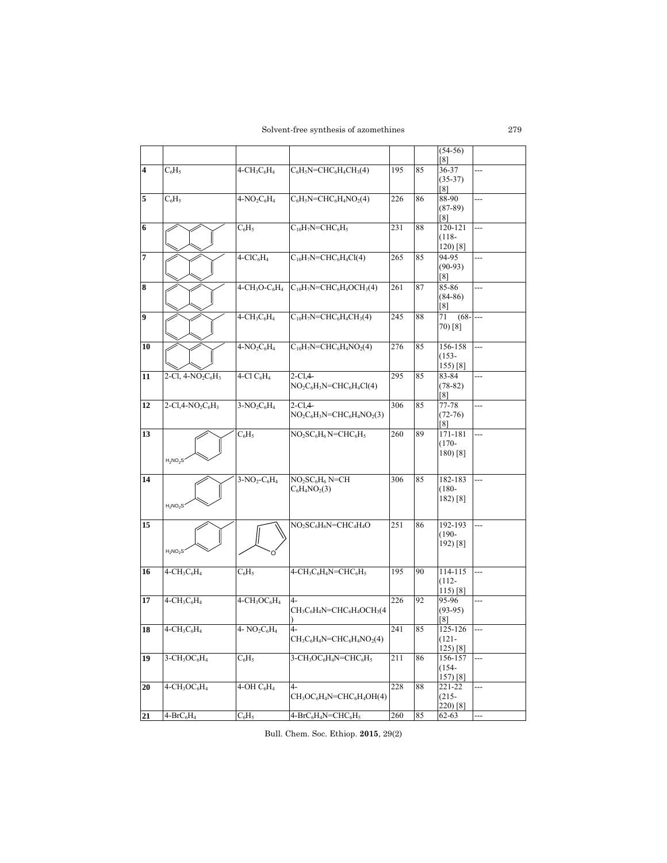Solvent-free synthesis of azomethines

|                     |                         |                                      |                                                                                       |     |    | $(54-56)$                  |                |
|---------------------|-------------------------|--------------------------------------|---------------------------------------------------------------------------------------|-----|----|----------------------------|----------------|
|                     |                         |                                      |                                                                                       |     |    | [8]                        |                |
| $\overline{\bf{4}}$ | $C_6H_5$                | $4 - CH3C6H4$                        | $C_6H_5N=CHC_6H_4CH_3(4)$                                                             | 195 | 85 | 36-37                      | ---            |
|                     |                         |                                      |                                                                                       |     |    | $(35-37)$                  |                |
| 5                   | $C_6H_5$                | $4-NO_2C_6H_4$                       | $C_6H_5N=CHC_6H_4NO_2(4)$                                                             | 226 | 86 | $\lceil 8 \rceil$<br>88-90 | ---            |
|                     |                         |                                      |                                                                                       |     |    | $(87-89)$                  |                |
|                     |                         |                                      |                                                                                       |     |    | [8]                        |                |
| 6                   |                         | $C_6H_5$                             | $C_{10}H_7N=CHC_6H_5$                                                                 | 231 | 88 | 120-121                    |                |
|                     |                         |                                      |                                                                                       |     |    | $(118 -$                   |                |
|                     |                         |                                      |                                                                                       |     |    | $120$ [8]                  |                |
| $\overline{7}$      |                         | $4-CIC6H4$                           | $C_{10}H_7N=CHC_6H_4Cl(4)$                                                            | 265 | 85 | 94-95                      | ---            |
|                     |                         |                                      |                                                                                       |     |    | $(90-93)$                  |                |
|                     |                         |                                      |                                                                                       |     |    | [8]                        |                |
| 8                   |                         | $4-CH3O-C6H4$                        | $C_{10}H_7N=CHC_6H_4OCH_3(4)$                                                         | 261 | 87 | 85-86<br>$(84-86)$         | ---            |
|                     |                         |                                      |                                                                                       |     |    | [8]                        |                |
| 9                   |                         | $4-CH3C6H4$                          | $C_{10}H_7N=CHC_6H_4CH_3(4)$                                                          | 245 | 88 | $(68 -$<br>71              | $\overline{a}$ |
|                     |                         |                                      |                                                                                       |     |    | 70) [8]                    |                |
|                     |                         |                                      |                                                                                       |     |    |                            |                |
| 10                  |                         | $4-NO_2C_6H_4$                       | $C_{10}H_7N=CHC_6H_4NO_2(4)$                                                          | 276 | 85 | 156-158                    | ---            |
|                     |                         |                                      |                                                                                       |     |    | $(153 -$                   |                |
|                     |                         |                                      |                                                                                       |     |    | 155) [8]                   |                |
| 11                  | $2-Cl, 4-NO2C6H3$       | $4$ -Cl $C_6H_4$                     | $2 - C1.4 -$                                                                          | 295 | 85 | 83-84                      | ---            |
|                     |                         |                                      | $NO2C6H3N=CHC6H4Cl(4)$                                                                |     |    | $(78-82)$<br>[8]           |                |
| 12                  | $2-Cl$ , $4-NO_2C_6H_3$ | $3-NO2C6H4$                          | $2$ -Cl <sub>4</sub> -                                                                | 306 | 85 | 77-78                      | ---            |
|                     |                         |                                      | $NO2C6H3N=CHC6H4NO2(3)$                                                               |     |    | $(72-76)$                  |                |
|                     |                         |                                      |                                                                                       |     |    | [8]                        |                |
| 13                  |                         | $C_6H_5$                             | $NO2SC6H6$ N=CHC <sub>6</sub> H <sub>5</sub>                                          | 260 | 89 | 171-181                    | ---            |
|                     |                         |                                      |                                                                                       |     |    | $(170 -$                   |                |
|                     | $H_2NO_2S$              |                                      |                                                                                       |     |    | $180$ [8]                  |                |
|                     |                         |                                      |                                                                                       |     |    |                            |                |
| 14                  |                         | $3-NO_2-C_6H_4$                      | $NO2SC6H6$ N=CH                                                                       | 306 | 85 | 182-183                    | ---            |
|                     |                         |                                      | $C_6H_4NO_2(3)$                                                                       |     |    | $(180 -$                   |                |
|                     | $H_2NO_2S$              |                                      |                                                                                       |     |    | 182) [8]                   |                |
|                     |                         |                                      |                                                                                       |     |    |                            |                |
| 15                  |                         |                                      | $NO2SC6H6N=CHC4H4O$                                                                   | 251 | 86 | 192-193                    | ---            |
|                     |                         |                                      |                                                                                       |     |    | $(190 -$                   |                |
|                     | $H_2NO_2S$              |                                      |                                                                                       |     |    | 192) [8]                   |                |
|                     |                         |                                      |                                                                                       |     |    |                            |                |
| 16                  | $4 - CH_3C_6H_4$        | $C_6H_5$                             | $4-CH_3C_6H_4N=CHC_6H_5$                                                              | 195 | 90 | 114-115                    | ---            |
|                     |                         |                                      |                                                                                       |     |    | $(112 -$                   |                |
|                     |                         |                                      |                                                                                       |     |    | $115$ [8]                  |                |
| 17                  | $4-CH_3C_6H_4$          | $4-\text{CH}_3\text{OC}_6\text{H}_4$ | 4-                                                                                    | 226 | 92 | 95-96                      |                |
|                     |                         |                                      | $CH_3C_6H_4N=CHC_6H_4OCH_3(4)$                                                        |     |    | $(93-95)$                  |                |
|                     |                         |                                      |                                                                                       |     |    | [8]                        |                |
| 18                  | $4-CH_3C_6H_4$          | 4- $NO2C6H4$                         | $4-$<br>$CH_3C_6H_4N=CHC_6H_4NO_2(4)$                                                 | 241 | 85 | 125-126<br>$(121 -$        | ---            |
|                     |                         |                                      |                                                                                       |     |    | $125)$ [8]                 |                |
| 19                  | $3-CH_3OC_6H_4$         | $C_6H_5$                             | $3$ -CH <sub>3</sub> OC <sub>6</sub> H <sub>4</sub> N=CHC <sub>6</sub> H <sub>5</sub> | 211 | 86 | 156-157                    | ---            |
|                     |                         |                                      |                                                                                       |     |    | $(154 -$                   |                |
|                     |                         |                                      |                                                                                       |     |    | 157) [8]                   |                |
| 20                  | $4-CH3OC6H4$            | $4$ -OH $C_6H_4$                     | $4-$                                                                                  | 228 | 88 | 221-22                     | ---            |
|                     |                         |                                      | $CH_3OC_6H_4N=CHC_6H_4OH(4)$                                                          |     |    | $(215 -$                   |                |
| 21                  | $4-BrC_6H_4$            | $C_6H_5$                             | 4-BrC <sub>6</sub> H <sub>4</sub> N=CHC <sub>6</sub> H <sub>5</sub>                   | 260 | 85 | 220) [8]<br>62-63          | ---            |
|                     |                         |                                      |                                                                                       |     |    |                            |                |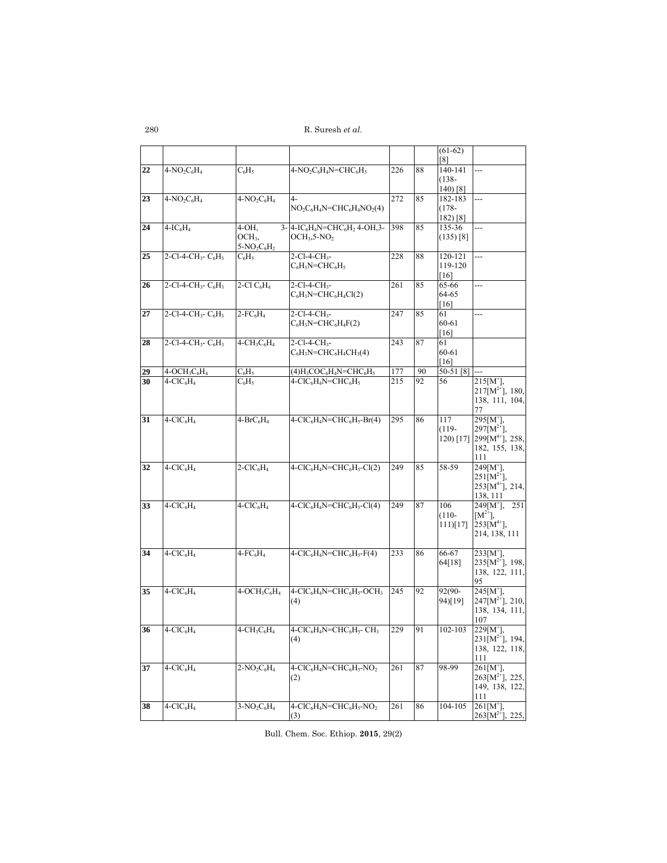|                 |                                                           |                                     |                                                                                                               |            |          | $(61-62)$<br>[8]       |                                             |
|-----------------|-----------------------------------------------------------|-------------------------------------|---------------------------------------------------------------------------------------------------------------|------------|----------|------------------------|---------------------------------------------|
| 22              | $4-NO2C6H4$                                               | $C_6H_5$                            | $4-NO2C6H4N=CHC6H5$                                                                                           | 226        | 88       | 140-141                | ---                                         |
|                 |                                                           |                                     |                                                                                                               |            |          | $(138 -$               |                                             |
| 23              | $4-NO2C6H4$                                               | $4-NO2C6H4$                         | $4-$                                                                                                          | 272        | 85       | $140$ [8]<br>182-183   |                                             |
|                 |                                                           |                                     | $NO_2C_6H_4N=CHC_6H_4NO_2(4)$                                                                                 |            |          | $(178 -$               |                                             |
|                 |                                                           |                                     |                                                                                                               |            |          | $182)$ [8]             |                                             |
| 24              | $4-IC6H4$                                                 | $4-OH$ ,<br>OCH <sub>3</sub>        | 3- 4-IC <sub>6</sub> H <sub>4</sub> N=CHC <sub>6</sub> H <sub>2</sub> 4-OH, 3-<br>$OCH3, 5-NO2$               | 398        | 85       | 135-36<br>$(135)$ [8]  |                                             |
|                 |                                                           | $5-NO_2C_6H_2$                      |                                                                                                               |            |          |                        |                                             |
| 25              | 2-Cl-4-CH <sub>3</sub> - $C_6H_3$                         | $C_6H_5$                            | $2$ -Cl-4-CH <sub>3</sub> -                                                                                   | 228        | 88       | 120-121                | ---                                         |
|                 |                                                           |                                     | $C_6H_3N=CHC_6H_5$                                                                                            |            |          | 119-120<br>[16]        |                                             |
| 26              | $2$ -Cl-4-CH <sub>3</sub> - C <sub>6</sub> H <sub>3</sub> | $2$ -Cl $C_6H_4$                    | 2-Cl-4-CH <sub>3</sub> -                                                                                      | 261        | 85       | 65-66                  | ---                                         |
|                 |                                                           |                                     | $C_6H_3N=CHC_6H_4Cl(2)$                                                                                       |            |          | 64-65                  |                                             |
| 27              | 2-Cl-4-CH <sub>3</sub> - $C_6H_3$                         | $2$ -FC <sub>6</sub> H <sub>4</sub> | $2$ -Cl-4-CH <sub>3</sub> -                                                                                   | 247        | 85       | [16]<br>61             | ---                                         |
|                 |                                                           |                                     | $C_6H_3N=CHC_6H_4F(2)$                                                                                        |            |          | 60-61                  |                                             |
|                 |                                                           |                                     |                                                                                                               |            |          | [16]                   |                                             |
| 28              | 2-Cl-4-CH <sub>3</sub> - C <sub>6</sub> H <sub>3</sub>    | $4-CH3C6H4$                         | 2-Cl-4-CH <sub>3</sub> -<br>$C_6H_3N=CHC_6H_4CH_3(4)$                                                         | 243        | 87       | 61<br>60-61            |                                             |
|                 |                                                           |                                     |                                                                                                               |            |          | [16]                   |                                             |
| 29              | $4-OCH3C6H4$<br>$4-CIC_6H_4$                              | $C_6H_5$                            | $(4)H_3COC_6H_4N=CHC_6H_5$                                                                                    | 177<br>215 | 90<br>92 | 50-51 [8]              | $215[M^{\dagger}],$                         |
| 30              |                                                           | $C_6H_5$                            | $4-CIC6H4N=CHC6H5$                                                                                            |            |          | 56                     | $217[M^{2+}]$ , 180,                        |
|                 |                                                           |                                     |                                                                                                               |            |          |                        | 138, 111, 104,                              |
| 31              | $4-CIC6H4$                                                | $4-BrC_6H_4$                        | $4-CIC6H4N=CHC6H5-Br(4)$                                                                                      | 295        | 86       | 117                    | 77<br>$295[M^{\dagger}]$                    |
|                 |                                                           |                                     |                                                                                                               |            |          | $(119-$                | $297[M^{2+}],$                              |
|                 |                                                           |                                     |                                                                                                               |            |          |                        | 120) [17] 299[M <sup>4+</sup> ], 258,       |
|                 |                                                           |                                     |                                                                                                               |            |          |                        | 182, 155, 138,<br>111                       |
| 32              | $4-CIC6H4$                                                | $2-CIC6H4$                          | $4-CIC6H4N=CHC6H5-Cl(2)$                                                                                      | 249        | 85       | 58-59                  | $249[M^{\dagger}],$                         |
|                 |                                                           |                                     |                                                                                                               |            |          |                        | $251[M^{2+}],$<br>$253[M^{4+}]$ , 214,      |
|                 |                                                           |                                     |                                                                                                               |            |          |                        | 138, 111                                    |
| 33              | $4-CIC6H4$                                                | $4-CIC6H4$                          | $4-CIC6H4N=CHC6H5-Cl(4)$                                                                                      | 249        | 87       | 106                    | $249[M^+]$ ,<br>251                         |
|                 |                                                           |                                     |                                                                                                               |            |          | $(110 -$<br>$111$ [17] | $[M^{2+}],$<br>$253[M^{4+}]$ ,              |
|                 |                                                           |                                     |                                                                                                               |            |          |                        | 214, 138, 111                               |
|                 |                                                           |                                     |                                                                                                               |            |          |                        |                                             |
| 34              | $4-CIC6H4$                                                | $4$ -FC <sub>6</sub> H <sub>4</sub> | $4-CIC6H4N=CHC6H5-F(4)$                                                                                       | 233        | 86       | 66-67<br>64[18]        | $233[M^{\dagger}],$<br>$235[M^{2+}]$ , 198, |
|                 |                                                           |                                     |                                                                                                               |            |          |                        | 138, 122, 111,                              |
|                 |                                                           |                                     |                                                                                                               |            |          |                        | 95                                          |
| 35              | $4-CIC6H4$                                                | $4-OCH3C6H4$                        | $4-CIC6H4N=CHC6H5-OCH3$<br>(4)                                                                                | 245        | 92       | $92(90-$<br>94)[19]    | $245[M^+]$ ,<br>$247[M^{2+}]$ , 210,        |
|                 |                                                           |                                     |                                                                                                               |            |          |                        | 138, 134, 111,                              |
| $\overline{36}$ |                                                           |                                     |                                                                                                               |            |          |                        | 107                                         |
|                 | $4-CIC6H4$                                                | $4-CH3C6H4$                         | $4\text{-}\mathrm{ClC}_6\mathrm{H}_4\mathrm{N}\text{=}\mathrm{CHC}_6\mathrm{H}_5\text{-}\mathrm{CH}_3$<br>(4) | 229        | 91       | 102-103                | $229[M^+]$<br>$231[M^{2+}]$ , 194,          |
|                 |                                                           |                                     |                                                                                                               |            |          |                        | 138, 122, 118,                              |
| 37              | $4-CIC6H4$                                                | $2-NO2C6H4$                         | 4-ClC <sub>6</sub> H <sub>4</sub> N=CHC <sub>6</sub> H <sub>5</sub> -NO <sub>2</sub>                          | 261        | 87       | 98-99                  | 111<br>$261[M^{\dagger}]$ ,                 |
|                 |                                                           |                                     | (2)                                                                                                           |            |          |                        | $263[M^{2+}]$ , 225,                        |
|                 |                                                           |                                     |                                                                                                               |            |          |                        | 149, 138, 122,                              |
| 38              | $4-CIC6H4$                                                | $3-NO2C6H4$                         | $4-CIC6H4N=CHC6H5-NO2$                                                                                        | 261        | 86       | 104-105                | 111<br>$261[M^{\dagger}],$                  |
|                 |                                                           |                                     | (3)                                                                                                           |            |          |                        | $263[M^{2+}]$ , 225,                        |

Bull. Chem. Soc. Ethiop. **2015**, 29(2)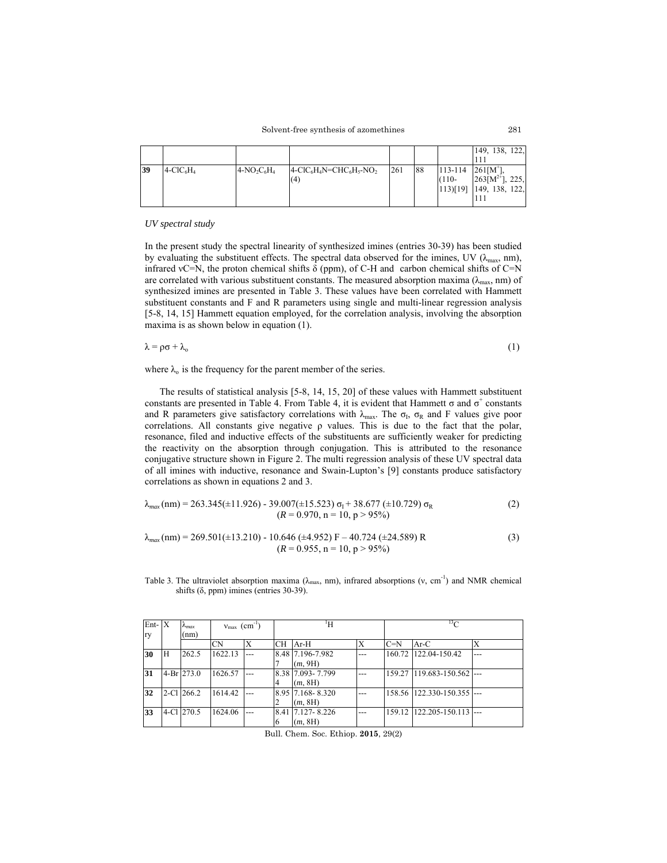|    |            |                |                               |     |    |                                                 | 149, 138, 122,                                        |
|----|------------|----------------|-------------------------------|-----|----|-------------------------------------------------|-------------------------------------------------------|
| 39 | $4-CIC6H4$ | $4-NO_2C_6H_4$ | $4-CIC6H4N=CHC6H5-NO2$<br>(4) | 261 | 88 | $113 - 114$ $261$ [M <sup>+</sup> ],<br>$(110-$ | $263[M^{2+}]$ , 225,<br>$[113][19]$ $[149, 138, 122]$ |

### *UV spectral study*

In the present study the spectral linearity of synthesized imines (entries 30-39) has been studied by evaluating the substituent effects. The spectral data observed for the imines, UV ( $\lambda_{\text{max}}$ , nm), infrared vC=N, the proton chemical shifts  $\delta$  (ppm), of C-H and carbon chemical shifts of C=N are correlated with various substituent constants. The measured absorption maxima ( $\lambda_{\text{max}}$ , nm) of synthesized imines are presented in Table 3. These values have been correlated with Hammett substituent constants and F and R parameters using single and multi-linear regression analysis [5-8, 14, 15] Hammett equation employed, for the correlation analysis, involving the absorption maxima is as shown below in equation (1).

$$
\lambda = \rho \sigma + \lambda_o \tag{1}
$$

where  $\lambda_0$  is the frequency for the parent member of the series.

 The results of statistical analysis [5-8, 14, 15, 20] of these values with Hammett substituent constants are presented in Table 4. From Table 4, it is evident that Hammett  $\sigma$  and  $\sigma^+$  constants and R parameters give satisfactory correlations with  $\lambda_{\text{max}}$ . The  $\sigma_{\text{I}}$ ,  $\sigma_{\text{R}}$  and F values give poor correlations. All constants give negative ρ values. This is due to the fact that the polar, resonance, filed and inductive effects of the substituents are sufficiently weaker for predicting the reactivity on the absorption through conjugation. This is attributed to the resonance conjugative structure shown in Figure 2. The multi regression analysis of these UV spectral data of all imines with inductive, resonance and Swain-Lupton's [9] constants produce satisfactory correlations as shown in equations 2 and 3.

$$
\lambda_{max}(nm) = 263.345(\pm 11.926) - 39.007(\pm 15.523) \sigma_1 + 38.677 (\pm 10.729) \sigma_R
$$
\n
$$
(R = 0.970, n = 10, p > 95\%)
$$
\n(2)

$$
\lambda_{max}(nm) = 269.501(\pm 13.210) - 10.646 \ (\pm 4.952) \ F - 40.724 \ (\pm 24.589) \ R \tag{3}
$$
\n
$$
(R = 0.955, n = 10, p > 95\%)
$$

Table 3. The ultraviolet absorption maxima ( $\lambda_{\text{max}}$ , nm), infrared absorptions (v, cm<sup>-1</sup>) and NMR chemical shifts (δ, ppm) imines (entries 30-39).

| $Ent- X$<br>ry  |    | $\lambda_{max}$<br>(nm) | $v_{\text{max}}$ (cm <sup>-1</sup> ) |     |     | ŀΗ                            |         | $13\sigma$ |                            |       |  |
|-----------------|----|-------------------------|--------------------------------------|-----|-----|-------------------------------|---------|------------|----------------------------|-------|--|
|                 |    |                         | CΝ                                   | X   | CH. | $Ar-H$                        |         | $C=N$      | Ar-C                       |       |  |
| 30              | ΙH | 262.5                   | 1622.13                              |     |     | 8.48 7.196-7.982<br>(m, 9H)   |         | 160.72     | 122.04-150.42              | $---$ |  |
| 31              |    | 4-Br 273.0              | 1626.57                              |     |     | 8.38 7.093 - 7.799<br>(m, 8H) |         |            | 159.27 119.683-150.562 --- |       |  |
| $\overline{32}$ |    | $2$ -Cl $266.2$         | 1614.42                              |     |     | 8.95 7.168 - 8.320<br>(m, 8H) |         |            | 158.56 122.330-150.355 --- |       |  |
| 33              |    | 4-Cl 270.5              | 1624.06                              | --- | 16  | 8.41 7.127 - 8.226<br>(m, 8H) | $- - -$ |            | 159.12 122.205-150.113 --- |       |  |

Bull. Chem. Soc. Ethiop. **2015**, 29(2)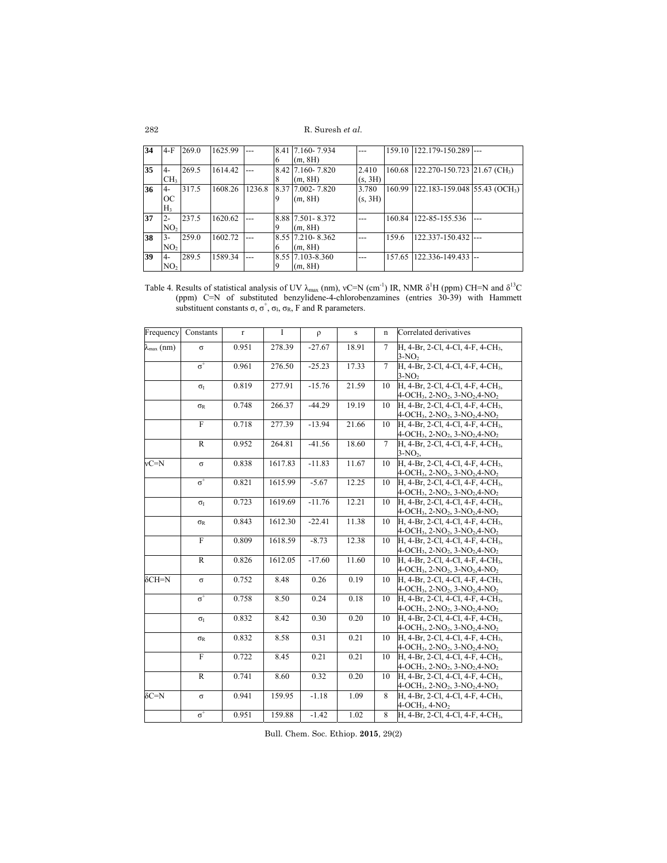| 34 | 4-F             | 269.0 | 1625.99 |        |          | 8.41 7.160-7.934   |         |        | 159.10 122.179-150.289                           |     |
|----|-----------------|-------|---------|--------|----------|--------------------|---------|--------|--------------------------------------------------|-----|
|    |                 |       |         |        | $\sigma$ | (m, 8H)            |         |        |                                                  |     |
| 35 | 4-              | 269.5 | 1614.42 |        |          | 8.42 7.160 - 7.820 | 2.410   |        | 160.68 122.270-150.723 21.67 (CH <sub>3</sub> )  |     |
|    | CH <sub>3</sub> |       |         |        | 8        | (m, 8H)            | (s, 3H) |        |                                                  |     |
| 36 | 4-              | 317.5 | 1608.26 | 1236.8 |          | 8.37 7.002 - 7.820 | 3.780   |        | 160.99 122.183-159.048 55.43 (OCH <sub>3</sub> ) |     |
|    | OС              |       |         |        |          | (m, 8H)            | (s, 3H) |        |                                                  |     |
|    | H <sub>3</sub>  |       |         |        |          |                    |         |        |                                                  |     |
| 37 | $2 -$           | 237.5 | 1620.62 |        |          | 8.88 7.501 - 8.372 |         |        | 160.84 122-85-155.536                            | --- |
|    | NO <sub>2</sub> |       |         |        |          | (m, 8H)            |         |        |                                                  |     |
| 38 | 3-              | 259.0 | 1602.72 |        |          | 8.55 7.210 - 8.362 |         | 159.6  | 122.337-150.432                                  |     |
|    | NO <sub>2</sub> |       |         |        | 6        | (m, 8H)            |         |        |                                                  |     |
| 39 | -4              | 289.5 | 1589.34 |        |          | 8.55 7.103-8.360   | $- - -$ | 157.65 | 122.336-149.433                                  |     |
|    | NO <sub>2</sub> |       |         |        |          | (m, 8H)            |         |        |                                                  |     |

Table 4. Results of statistical analysis of UV  $\lambda_{max}$  (nm), vC=N (cm<sup>-1</sup>) IR, NMR  $\delta^1$ H (ppm) CH=N and  $\delta^{13}$ C (ppm) C=N of substituted benzylidene-4-chlorobenzamines (entries 30-39) with Hammett substituent constants  $\sigma$ ,  $\sigma^+$ ,  $\sigma$ <sub>k</sub>,  $\sigma$ <sub>k</sub>, F and R parameters.

| Frequency             | Constants        | $r_{\rm}$ | I       | $\rho$   | $\,$ s | $\mathbf n$     | Correlated derivatives                                                         |
|-----------------------|------------------|-----------|---------|----------|--------|-----------------|--------------------------------------------------------------------------------|
|                       |                  |           |         |          |        |                 |                                                                                |
| $\lambda_{\max}$ (nm) | $\sigma$         | 0.951     | 278.39  | $-27.67$ | 18.91  | $\tau$          | H, 4-Br, 2-Cl, 4-Cl, 4-F, 4-CH <sub>3</sub> ,<br>$3-NO2$                       |
|                       | $\sigma^+$       | 0.961     | 276.50  | $-25.23$ | 17.33  | $\tau$          | H, 4-Br, 2-Cl, 4-Cl, 4-F, 4-CH <sub>3</sub> ,                                  |
|                       |                  |           |         |          |        |                 | $3-NO2$                                                                        |
|                       | $\sigma_{\rm I}$ | 0.819     | 277.91  | $-15.76$ | 21.59  | 10              | H, 4-Br, 2-Cl, 4-Cl, 4-F, 4-CH <sub>3</sub> ,                                  |
|                       |                  |           |         |          |        |                 | 4-OCH <sub>3</sub> , 2-NO <sub>2</sub> , 3-NO <sub>2</sub> , 4-NO <sub>2</sub> |
|                       | $\sigma_R$       | 0.748     | 266.37  | $-44.29$ | 19.19  | 10              | H, 4-Br, 2-Cl, 4-Cl, 4-F, 4-CH <sub>3</sub> ,                                  |
|                       |                  |           |         |          |        |                 | 4-OCH <sub>3</sub> , 2-NO <sub>2</sub> , 3-NO <sub>2</sub> , 4-NO <sub>2</sub> |
|                       | $\overline{F}$   | 0.718     | 277.39  | $-13.94$ | 21.66  | 10              | H, 4-Br, 2-Cl, 4-Cl, 4-F, 4-CH <sub>3</sub> ,                                  |
|                       |                  |           |         |          |        |                 | 4-OCH <sub>3</sub> , 2-NO <sub>2</sub> , 3-NO <sub>2</sub> , 4-NO <sub>2</sub> |
|                       | $\mathbb{R}$     | 0.952     | 264.81  | $-41.56$ | 18.60  | $7\overline{ }$ | H, 4-Br, 2-Cl, 4-Cl, 4-F, 4-CH <sub>3</sub> ,                                  |
|                       |                  |           |         |          |        |                 | $3-NO2$                                                                        |
| $vC=N$                | $\sigma$         | 0.838     | 1617.83 | $-11.83$ | 11.67  | 10              | H, 4-Br, 2-Cl, 4-Cl, 4-F, 4-CH <sub>3</sub> ,                                  |
|                       |                  |           |         |          |        |                 | $4-OCH_3$ , $2-NO_2$ , $3-NO_2$ , $4-NO_2$                                     |
|                       | $\sigma^+$       | 0.821     | 1615.99 | $-5.67$  | 12.25  | 10              | H, 4-Br, 2-Cl, 4-Cl, 4-F, 4-CH <sub>3</sub> ,                                  |
|                       |                  |           |         |          |        |                 | $4-OCH_3$ , $2-NO_2$ , $3-NO_2$ , $4-NO_2$                                     |
|                       | $\sigma_{I}$     | 0.723     | 1619.69 | $-11.76$ | 12.21  | 10              | H, 4-Br, 2-Cl, 4-Cl, 4-F, 4-CH <sub>3</sub> ,                                  |
|                       |                  |           |         |          |        |                 | $4-OCH_3$ , $2-NO_2$ , $3-NO_2$ , $4-NO_2$                                     |
|                       | $\sigma_{R}$     | 0.843     | 1612.30 | $-22.41$ | 11.38  | 10              | H, 4-Br, 2-Cl, 4-Cl, 4-F, 4-CH <sub>3</sub> ,                                  |
|                       |                  |           |         |          |        |                 | 4-OCH <sub>3</sub> , 2-NO <sub>2</sub> , 3-NO <sub>2</sub> , 4-NO <sub>2</sub> |
|                       | $\overline{F}$   | 0.809     | 1618.59 | $-8.73$  | 12.38  | 10              | H, 4-Br, 2-Cl, 4-Cl, 4-F, 4-CH <sub>3</sub> ,                                  |
|                       |                  |           |         |          |        |                 | 4-OCH <sub>3</sub> , 2-NO <sub>2</sub> , 3-NO <sub>2</sub> , 4-NO <sub>2</sub> |
|                       | $\mathbb{R}$     | 0.826     | 1612.05 | $-17.60$ | 11.60  | 10              | H, 4-Br, 2-Cl, 4-Cl, 4-F, 4-CH <sub>3</sub> ,                                  |
|                       |                  |           |         |          |        |                 | 4-OCH <sub>3</sub> , 2-NO <sub>2</sub> , 3-NO <sub>2</sub> , 4-NO <sub>2</sub> |
| $\delta$ CH=N         | $\sigma$         | 0.752     | 8.48    | 0.26     | 0.19   | 10              | H, 4-Br, 2-Cl, 4-Cl, 4-F, 4-CH <sub>3</sub> ,                                  |
|                       |                  |           |         |          |        |                 | 4-OCH <sub>3</sub> , 2-NO <sub>2</sub> , 3-NO <sub>2</sub> , 4-NO <sub>2</sub> |
|                       | $\sigma^+$       | 0.758     | 8.50    | 0.24     | 0.18   | 10              | H, 4-Br, 2-Cl, 4-Cl, 4-F, 4-CH <sub>3</sub> ,                                  |
|                       |                  |           |         |          |        |                 | $4-OCH3, 2-NO2, 3-NO2, 4-NO2$                                                  |
|                       | $\sigma_{\rm I}$ | 0.832     | 8.42    | 0.30     | 0.20   | 10              | H, 4-Br, 2-Cl, 4-Cl, 4-F, 4-CH <sub>3</sub> ,                                  |
|                       |                  |           |         |          |        |                 | $4-OCH3$ , $2-NO2$ , $3-NO2$ , $4-NO2$                                         |
|                       | $\sigma_R$       | 0.832     | 8.58    | 0.31     | 0.21   | 10              | H, 4-Br, 2-Cl, 4-Cl, 4-F, 4-CH <sub>3</sub> ,                                  |
|                       |                  |           |         |          |        |                 | 4-OCH <sub>3</sub> , 2-NO <sub>2</sub> , 3-NO <sub>2</sub> , 4-NO <sub>2</sub> |
|                       | $\overline{F}$   | 0.722     | 8.45    | 0.21     | 0.21   | 10              | H, 4-Br, 2-Cl, 4-Cl, 4-F, 4-CH <sub>3</sub> ,                                  |
|                       |                  |           |         |          |        |                 | $4-OCH3, 2-NO2, 3-NO2, 4-NO2$                                                  |
|                       | $\mathbb{R}$     | 0.741     | 8.60    | 0.32     | 0.20   | 10              | H, 4-Br, 2-Cl, 4-Cl, 4-F, 4-CH <sub>3</sub> ,                                  |
|                       |                  |           |         |          |        |                 | $4-OCH_3$ , $2-NO_2$ , $3-NO_2$ , $4-NO_2$                                     |
| $\delta C = N$        | $\sigma$         | 0.941     | 159.95  | $-1.18$  | 1.09   | 8               | H, 4-Br, 2-Cl, 4-Cl, 4-F, 4-CH <sub>3</sub> ,                                  |
|                       |                  |           |         |          |        |                 | $4-OCH3$ , $4-NO2$                                                             |
|                       | $\sigma^+$       | 0.951     | 159.88  | $-1.42$  | 1.02   | 8               | H, 4-Br, 2-Cl, 4-Cl, 4-F, 4-CH <sub>3</sub> ,                                  |

Bull. Chem. Soc. Ethiop. **2015**, 29(2)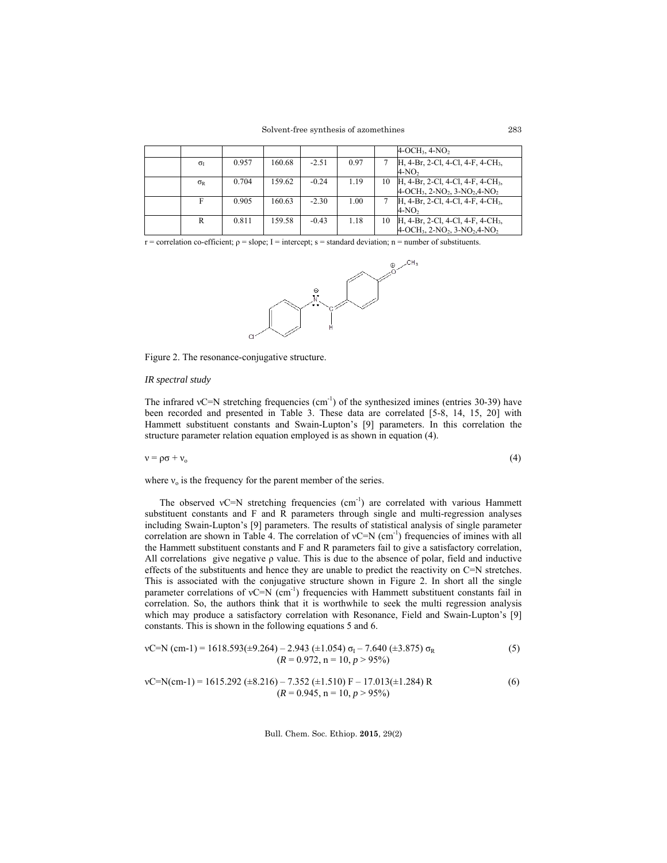Solvent-free synthesis of azomethines

|                     |       |        |         |      |    | $4-OCH3$ , $4-NO2$                            |
|---------------------|-------|--------|---------|------|----|-----------------------------------------------|
| $\sigma_{I}$        | 0.957 | 160.68 | $-2.51$ | 0.97 |    | H, 4-Br, 2-Cl, 4-Cl, 4-F, 4-CH <sub>3</sub> , |
|                     |       |        |         |      |    | $4-NO2$                                       |
| $\sigma_{\text{R}}$ | 0.704 | 159.62 | $-0.24$ | 1.19 | 10 | H, 4-Br, 2-Cl, 4-Cl, 4-F, 4-CH <sub>3</sub> , |
|                     |       |        |         |      |    | $4-OCH_3$ , $2-NO_2$ , $3-NO_2$ , $4-NO_2$    |
|                     | 0.905 | 160.63 | $-2.30$ | 1.00 |    | H, 4-Br, 2-Cl, 4-Cl, 4-F, 4-CH <sub>3</sub> , |
|                     |       |        |         |      |    | $4-NO2$                                       |
| R                   | 0.811 | 159.58 | $-0.43$ | 1.18 | 10 | H, 4-Br, 2-Cl, 4-Cl, 4-F, 4-CH <sub>3</sub> , |
|                     |       |        |         |      |    | $4-OCH_3$ , $2-NO_2$ , $3-NO_2$ , $4-NO_2$    |

r = correlation co-efficient;  $\rho$  = slope; I = intercept; s = standard deviation; n = number of substituents.



Figure 2. The resonance-conjugative structure.

## *IR spectral study*

The infrared vC=N stretching frequencies (cm<sup>-1</sup>) of the synthesized imines (entries 30-39) have been recorded and presented in Table 3. These data are correlated [5-8, 14, 15, 20] with Hammett substituent constants and Swain-Lupton's [9] parameters. In this correlation the structure parameter relation equation employed is as shown in equation (4).

 $v = \rho \sigma + v_0$  (4)

$$
\overline{4}
$$

where  $v_0$  is the frequency for the parent member of the series.

The observed vC=N stretching frequencies  $(cm<sup>-1</sup>)$  are correlated with various Hammett substituent constants and F and R parameters through single and multi-regression analyses including Swain-Lupton's [9] parameters. The results of statistical analysis of single parameter correlation are shown in Table 4. The correlation of  $vC=N$  (cm<sup>-1</sup>) frequencies of imines with all the Hammett substituent constants and F and R parameters fail to give a satisfactory correlation, All correlations give negative ρ value. This is due to the absence of polar, field and inductive effects of the substituents and hence they are unable to predict the reactivity on C=N stretches. This is associated with the conjugative structure shown in Figure 2. In short all the single parameter correlations of  $vC=N$  (cm<sup>-1</sup>) frequencies with Hammett substituent constants fail in correlation. So, the authors think that it is worthwhile to seek the multi regression analysis which may produce a satisfactory correlation with Resonance, Field and Swain-Lupton's [9] constants. This is shown in the following equations 5 and 6.

vC=N (cm-1) = 1618.593(
$$
\pm
$$
9.264) – 2.943 ( $\pm$ 1.054)  $\sigma$ <sub>I</sub> – 7.640 ( $\pm$ 3.875)  $\sigma$ <sub>R</sub>   
 (*R* = 0.972, n = 10, *p* > 95%)   
 (5)

vC=N(cm-1) = 1615.292 (+8.216) – 7.352 (+1.510) F – 17.013(+1.284) R  
(
$$
R = 0.945
$$
, n = 10, p > 95%) (6)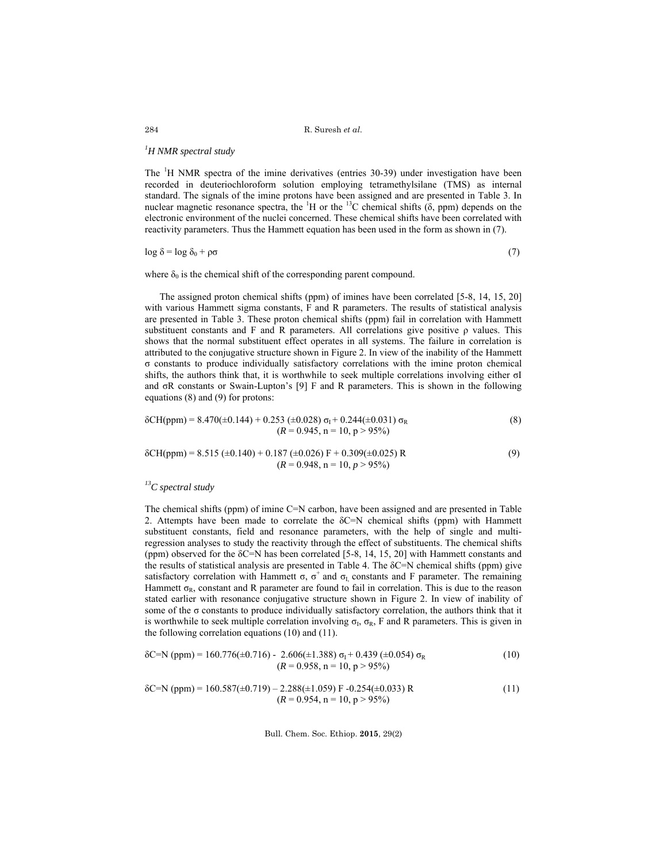# *1 H NMR spectral study*

The <sup>1</sup>H NMR spectra of the imine derivatives (entries 30-39) under investigation have been recorded in deuteriochloroform solution employing tetramethylsilane (TMS) as internal standard. The signals of the imine protons have been assigned and are presented in Table 3. In nuclear magnetic resonance spectra, the  ${}^{1}H$  or the  ${}^{13}C$  chemical shifts ( $\delta$ , ppm) depends on the electronic environment of the nuclei concerned. These chemical shifts have been correlated with reactivity parameters. Thus the Hammett equation has been used in the form as shown in (7).

$$
\log \delta = \log \delta_0 + \rho \sigma \tag{7}
$$

where  $\delta_0$  is the chemical shift of the corresponding parent compound.

 The assigned proton chemical shifts (ppm) of imines have been correlated [5-8, 14, 15, 20] with various Hammett sigma constants, F and R parameters. The results of statistical analysis are presented in Table 3. These proton chemical shifts (ppm) fail in correlation with Hammett substituent constants and F and R parameters. All correlations give positive ρ values. This shows that the normal substituent effect operates in all systems. The failure in correlation is attributed to the conjugative structure shown in Figure 2. In view of the inability of the Hammett σ constants to produce individually satisfactory correlations with the imine proton chemical shifts, the authors think that, it is worthwhile to seek multiple correlations involving either σI and σR constants or Swain-Lupton's [9] F and R parameters. This is shown in the following equations (8) and (9) for protons:

$$
\delta \text{CH(ppm)} = 8.470(\pm 0.144) + 0.253(\pm 0.028) \sigma_{\text{I}} + 0.244(\pm 0.031) \sigma_{\text{R}} \tag{8}
$$
  

$$
(R = 0.945, \text{ n} = 10, \text{ p} > 95\%)
$$

$$
\delta \text{CH(ppm)} = 8.515 \ (\pm 0.140) + 0.187 \ (\pm 0.026) \ \text{F} + 0.309 (\pm 0.025) \ \text{R} \tag{9}
$$
\n
$$
(R = 0.948, n = 10, p > 95\%)
$$

# *13C spectral study*

The chemical shifts (ppm) of imine C=N carbon, have been assigned and are presented in Table 2. Attempts have been made to correlate the  $\delta$ C=N chemical shifts (ppm) with Hammett substituent constants, field and resonance parameters, with the help of single and multiregression analyses to study the reactivity through the effect of substituents. The chemical shifts (ppm) observed for the  $\delta$ C=N has been correlated [5-8, 14, 15, 20] with Hammett constants and the results of statistical analysis are presented in Table 4. The  $\delta$ C=N chemical shifts (ppm) give satisfactory correlation with Hammett  $\sigma$ ,  $\sigma^+$  and  $\sigma$ <sub>I</sub> constants and F parameter. The remaining Hammett  $\sigma_R$ , constant and R parameter are found to fail in correlation. This is due to the reason stated earlier with resonance conjugative structure shown in Figure 2. In view of inability of some of the σ constants to produce individually satisfactory correlation, the authors think that it is worthwhile to seek multiple correlation involving  $\sigma_L$ ,  $\sigma_R$ , F and R parameters. This is given in the following correlation equations (10) and (11).

$$
δC=N (ppm) = 160.776(±0.716) - 2.606(±1.388) σI + 0.439 (±0.054) σR
$$
\n(10)  
\n(*R* = 0.958, n = 10, p > 95%)

$$
\delta C=N (ppm) = 160.587(\pm 0.719) - 2.288(\pm 1.059) \text{ F} - 0.254(\pm 0.033) \text{ R}
$$
\n
$$
(R = 0.954, n = 10, p > 95\%)
$$
\n(11)

Bull. Chem. Soc. Ethiop. **2015**, 29(2)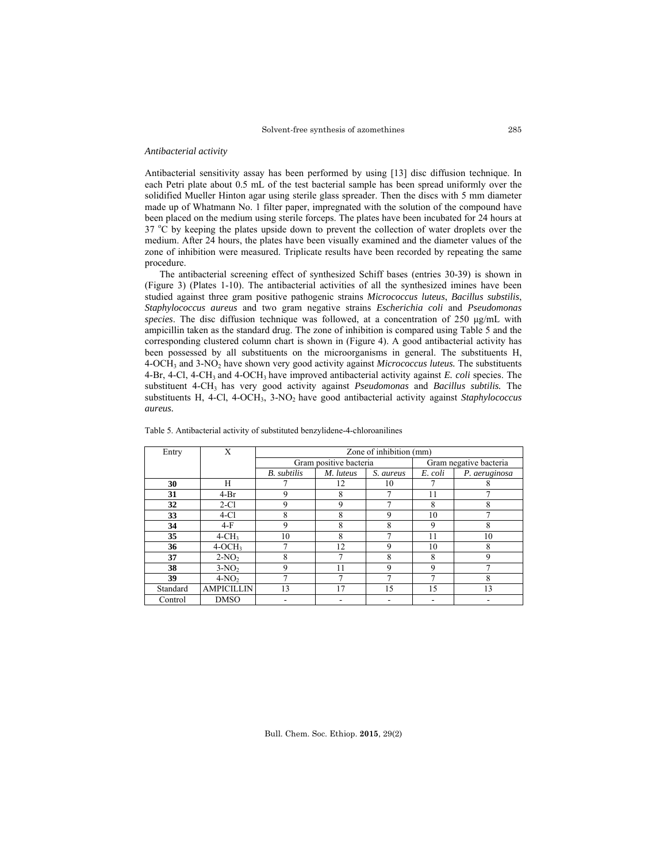### *Antibacterial activity*

Antibacterial sensitivity assay has been performed by using [13] disc diffusion technique. In each Petri plate about 0.5 mL of the test bacterial sample has been spread uniformly over the solidified Mueller Hinton agar using sterile glass spreader. Then the discs with 5 mm diameter made up of Whatmann No. 1 filter paper, impregnated with the solution of the compound have been placed on the medium using sterile forceps. The plates have been incubated for 24 hours at  $37 \text{ °C}$  by keeping the plates upside down to prevent the collection of water droplets over the medium. After 24 hours, the plates have been visually examined and the diameter values of the zone of inhibition were measured. Triplicate results have been recorded by repeating the same procedure.

The antibacterial screening effect of synthesized Schiff bases (entries 30-39) is shown in (Figure 3) (Plates 1-10). The antibacterial activities of all the synthesized imines have been studied against three gram positive pathogenic strains *Micrococcus luteus*, *Bacillus substilis*, *Staphylococcus aureus* and two gram negative strains *Escherichia coli* and *Pseudomonas species*. The disc diffusion technique was followed, at a concentration of 250 μg/mL with ampicillin taken as the standard drug. The zone of inhibition is compared using Table 5 and the corresponding clustered column chart is shown in (Figure 4). A good antibacterial activity has been possessed by all substituents on the microorganisms in general. The substituents H, 4-OCH3 and 3-NO2 have shown very good activity against *Micrococcus luteus.* The substituents 4-Br, 4-Cl, 4-CH3 and 4-OCH3 have improved antibacterial activity against *E. coli* species. The substituent 4-CH3 has very good activity against *Pseudomonas* and *Bacillus subtilis.* The substituents H, 4-Cl, 4-OCH<sub>3</sub>, 3-NO<sub>2</sub> have good antibacterial activity against *Staphylococcus aureus.*

| Entry    | Х                 |                    |                        | Zone of inhibition (mm) |         |                        |
|----------|-------------------|--------------------|------------------------|-------------------------|---------|------------------------|
|          |                   |                    | Gram positive bacteria |                         |         | Gram negative bacteria |
|          |                   | <b>B.</b> subtilis | M. luteus              | S. aureus               | E. coli | P. aeruginosa          |
| 30       | Н                 |                    | 12                     | 10                      |         | 8                      |
| 31       | $4-Br$            | 9                  | 8                      |                         | 11      |                        |
| 32       | $2-C1$            | 9                  | 9                      |                         | 8       | 8                      |
| 33       | $4-C1$            | 8                  | 8                      | 9                       | 10      |                        |
| 34       | $4-F$             | 9                  | 8                      | 8                       | 9       | 8                      |
| 35       | $4-CH3$           | 10                 | 8                      |                         | 11      | 10                     |
| 36       | $4-OCH3$          |                    | 12                     | 9                       | 10      | 8                      |
| 37       | $2-NO2$           | 8                  |                        | 8                       | 8       | 9                      |
| 38       | $3-NO2$           | 9                  |                        | 9                       | 9       |                        |
| 39       | $4-NO2$           |                    |                        | ┑                       |         | 8                      |
| Standard | <b>AMPICILLIN</b> | 13                 | 17                     | 15                      | 15      | 13                     |
| Control  | <b>DMSO</b>       |                    |                        |                         |         |                        |

Table 5. Antibacterial activity of substituted benzylidene-4-chloroanilines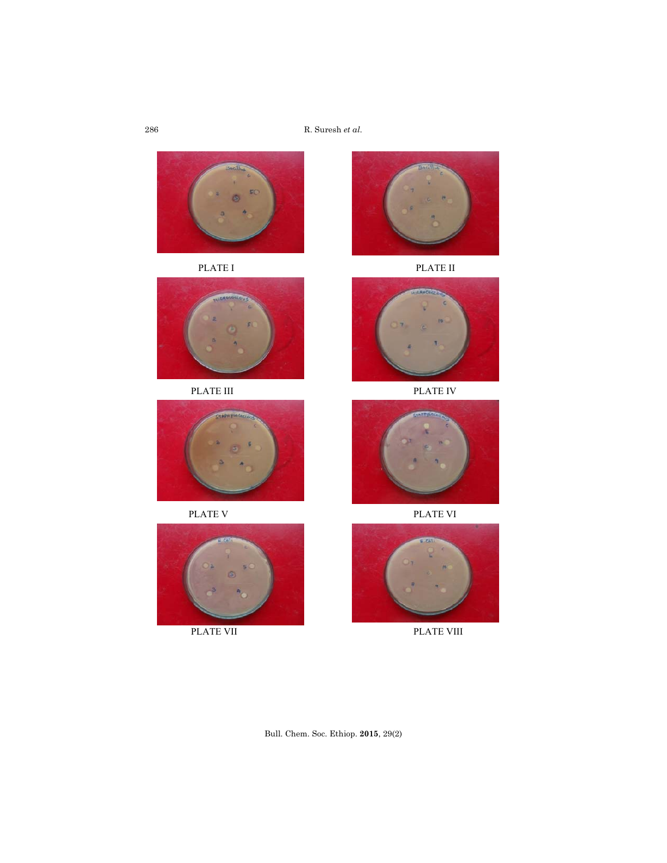R. Suresh *et al.*











PLATE I PLATE II





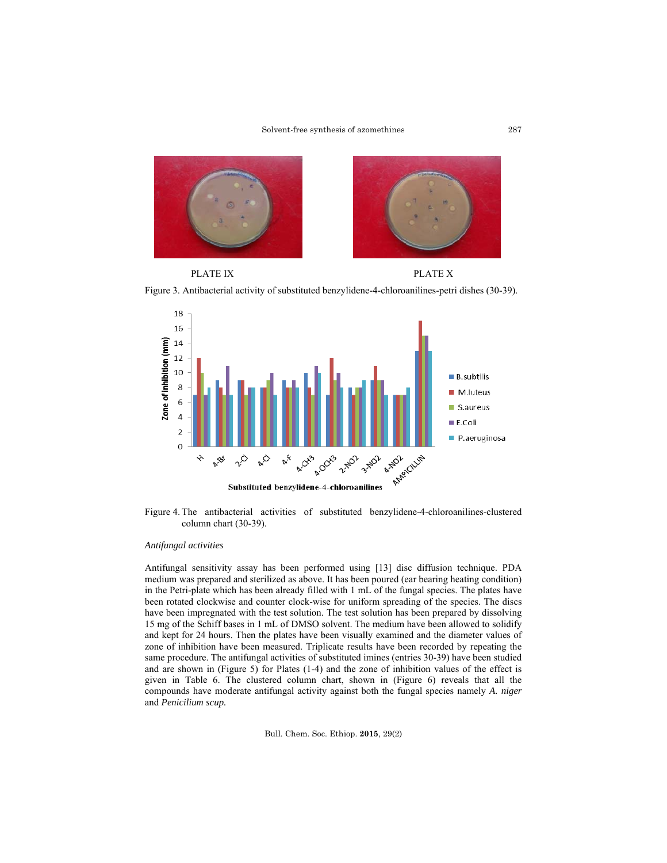

PLATE IX PLATE X

Figure 3. Antibacterial activity of substituted benzylidene-4-chloroanilines-petri dishes (30-39).



Figure 4. The antibacterial activities of substituted benzylidene-4-chloroanilines-clustered column chart (30-39).

## *Antifungal activities*

Antifungal sensitivity assay has been performed using [13] disc diffusion technique. PDA medium was prepared and sterilized as above. It has been poured (ear bearing heating condition) in the Petri-plate which has been already filled with 1 mL of the fungal species. The plates have been rotated clockwise and counter clock-wise for uniform spreading of the species. The discs have been impregnated with the test solution. The test solution has been prepared by dissolving 15 mg of the Schiff bases in 1 mL of DMSO solvent. The medium have been allowed to solidify and kept for 24 hours. Then the plates have been visually examined and the diameter values of zone of inhibition have been measured. Triplicate results have been recorded by repeating the same procedure. The antifungal activities of substituted imines (entries 30-39) have been studied and are shown in (Figure 5) for Plates (1-4) and the zone of inhibition values of the effect is given in Table 6. The clustered column chart, shown in (Figure 6) reveals that all the compounds have moderate antifungal activity against both the fungal species namely *A. niger*  and *Penicilium scup.*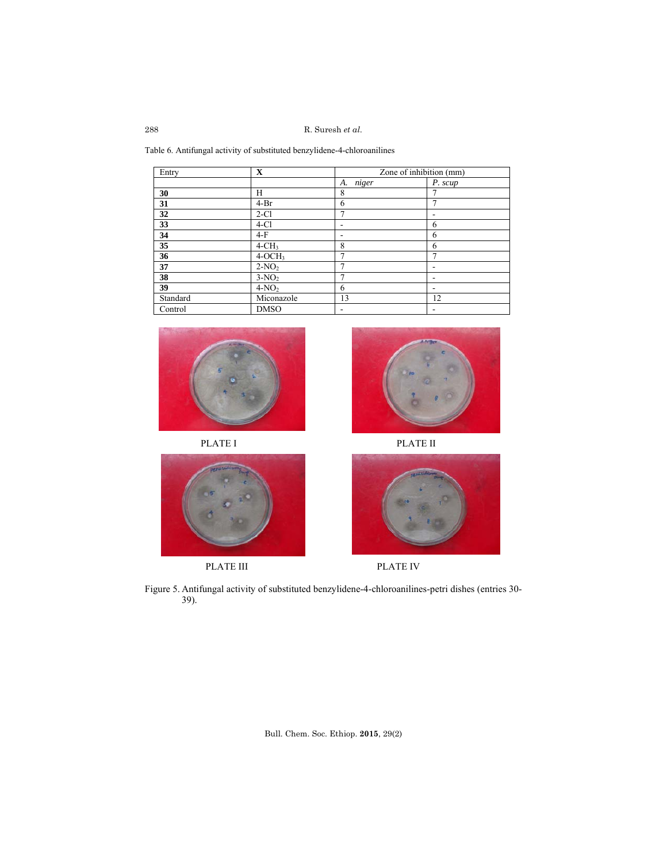Table 6. Antifungal activity of substituted benzylidene-4-chloroanilines

| Entry    | $\mathbf X$ | Zone of inhibition (mm) |         |  |  |  |
|----------|-------------|-------------------------|---------|--|--|--|
|          |             | niger<br>А.             | P. scup |  |  |  |
| 30       | Н           | 8                       |         |  |  |  |
| 31       | $4-Br$      | 6                       |         |  |  |  |
| 32       | $2-C1$      | 7                       |         |  |  |  |
| 33       | $4-C1$      |                         | 6       |  |  |  |
| 34       | $4-F$       | -                       | 6       |  |  |  |
| 35       | $4-CH3$     | 8                       | 6       |  |  |  |
| 36       | $4-OCH3$    | 7                       | ┑       |  |  |  |
| 37       | $2-NO2$     | ┑                       |         |  |  |  |
| 38       | $3-NO2$     |                         |         |  |  |  |
| 39       | $4-NO2$     | 6                       | -       |  |  |  |
| Standard | Miconazole  | 13                      | 12      |  |  |  |
| Control  | <b>DMSO</b> | -                       | ٠       |  |  |  |











Figure 5. Antifungal activity of substituted benzylidene-4-chloroanilines-petri dishes (entries 30- 39).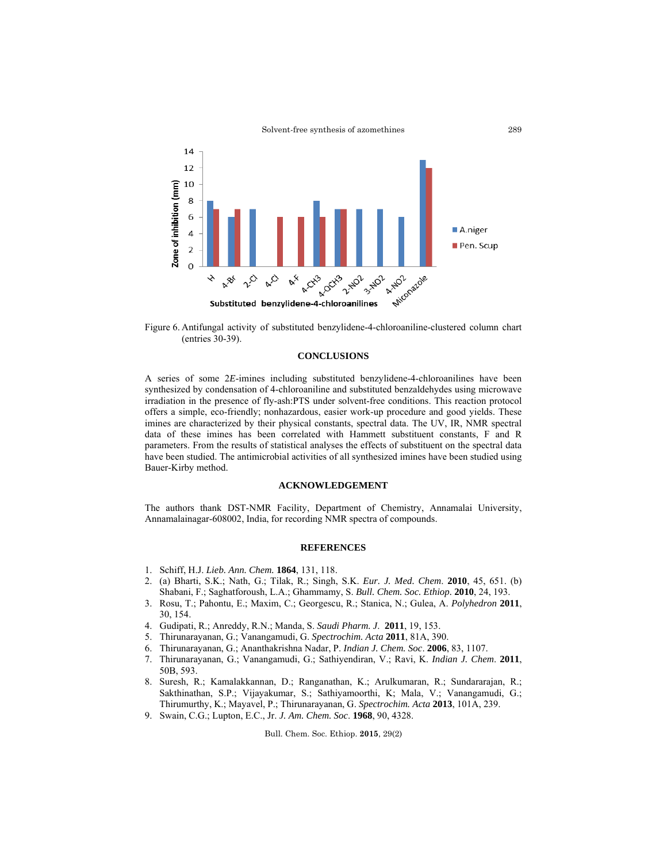

Figure 6. Antifungal activity of substituted benzylidene-4-chloroaniline-clustered column chart (entries 30-39).

### **CONCLUSIONS**

A series of some 2*E*-imines including substituted benzylidene-4-chloroanilines have been synthesized by condensation of 4-chloroaniline and substituted benzaldehydes using microwave irradiation in the presence of fly-ash:PTS under solvent-free conditions. This reaction protocol offers a simple, eco-friendly; nonhazardous, easier work-up procedure and good yields. These imines are characterized by their physical constants, spectral data. The UV, IR, NMR spectral data of these imines has been correlated with Hammett substituent constants, F and R parameters. From the results of statistical analyses the effects of substituent on the spectral data have been studied. The antimicrobial activities of all synthesized imines have been studied using Bauer-Kirby method.

### **ACKNOWLEDGEMENT**

The authors thank DST-NMR Facility, Department of Chemistry, Annamalai University, Annamalainagar-608002, India, for recording NMR spectra of compounds.

## **REFERENCES**

- 1. Schiff, H.J. *Lieb. Ann. Chem.* **1864**, 131, 118.
- 2. (a) Bharti, S.K.; Nath, G.; Tilak, R.; Singh, S.K. *Eur. J. Med. Chem*. **2010**, 45, 651. (b) Shabani, F.; Saghatforoush, L.A.; Ghammamy, S. *Bull. Chem. Soc. Ethiop.* **2010**, 24, 193.
- 3. Rosu, T.; Pahontu, E.; Maxim, C.; Georgescu, R.; Stanica, N.; Gulea, A. *Polyhedron* **2011**, 30, 154.
- 4. Gudipati, R.; Anreddy, R.N.; Manda, S. *Saudi Pharm. J*. **2011**, 19, 153.
- 5. Thirunarayanan, G.; Vanangamudi, G. *Spectrochim. Acta* **2011**, 81A, 390.
- 6. Thirunarayanan, G.; Ananthakrishna Nadar, P. *Indian J. Chem. Soc*. **2006**, 83, 1107.
- 7. Thirunarayanan, G.; Vanangamudi, G.; Sathiyendiran, V.; Ravi, K. *Indian J. Chem*. **2011**, 50B, 593.
- 8. Suresh, R.; Kamalakkannan, D.; Ranganathan, K.; Arulkumaran, R.; Sundararajan, R.; Sakthinathan, S.P.; Vijayakumar, S.; Sathiyamoorthi, K; Mala, V.; Vanangamudi, G.; Thirumurthy, K.; Mayavel, P.; Thirunarayanan, G. *Spectrochim. Acta* **2013**, 101A, 239.
- 9. Swain, C.G.; Lupton, E.C., Jr. *J. Am. Chem. Soc*. **1968**, 90, 4328.